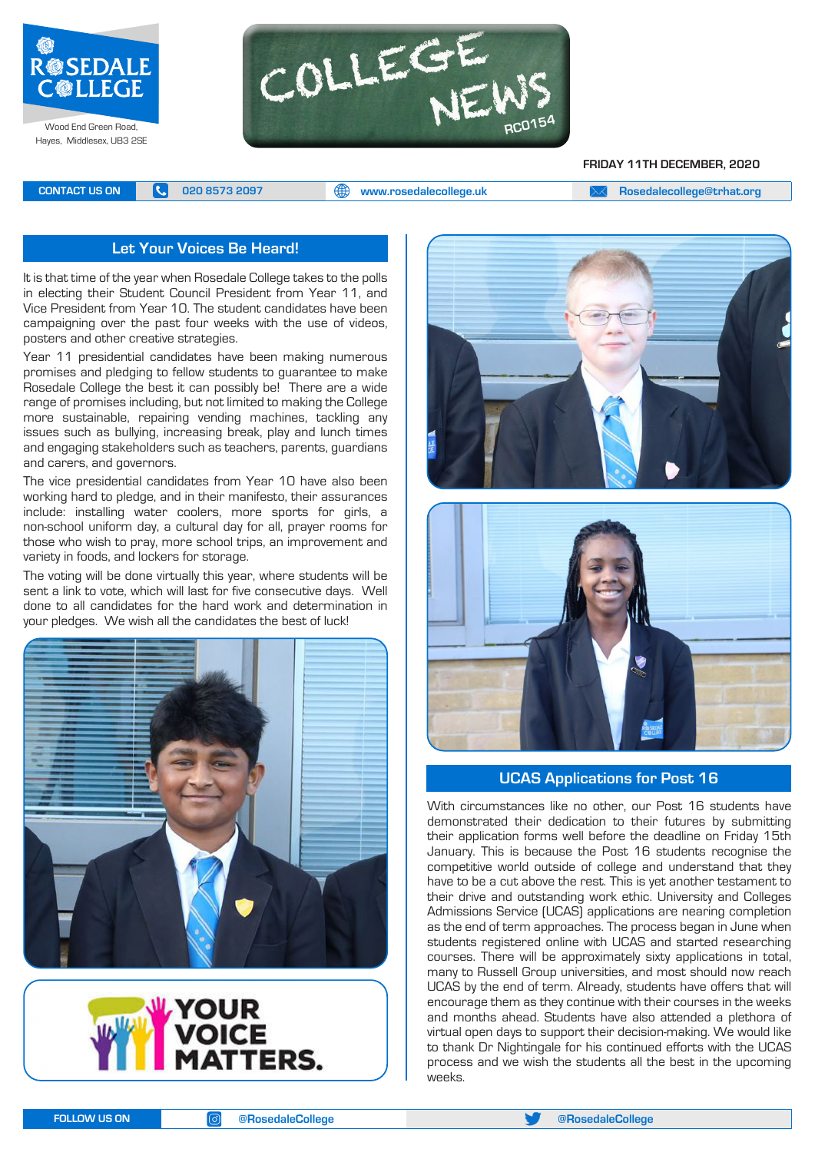



#### **FRIDAY 11TH DECEMBER, 2020**

**CONTACT US ON <b>C** 020 8573 2097 **C** 020 8573 2097 **CONTACT US ON EXAM Rosedalecollege@trhat.org** 

#### **Let Your Voices Be Heard!**

It is that time of the year when Rosedale College takes to the polls in electing their Student Council President from Year 11, and Vice President from Year 10. The student candidates have been campaigning over the past four weeks with the use of videos, posters and other creative strategies.

Year 11 presidential candidates have been making numerous promises and pledging to fellow students to guarantee to make Rosedale College the best it can possibly be! There are a wide range of promises including, but not limited to making the College more sustainable, repairing vending machines, tackling any issues such as bullying, increasing break, play and lunch times and engaging stakeholders such as teachers, parents, guardians and carers, and governors.

The vice presidential candidates from Year 10 have also been working hard to pledge, and in their manifesto, their assurances include: installing water coolers, more sports for girls, a non-school uniform day, a cultural day for all, prayer rooms for those who wish to pray, more school trips, an improvement and variety in foods, and lockers for storage.

The voting will be done virtually this year, where students will be sent a link to vote, which will last for five consecutive days. Well done to all candidates for the hard work and determination in your pledges. We wish all the candidates the best of luck!









**UCAS Applications for Post 16** 

With circumstances like no other, our Post 16 students have demonstrated their dedication to their futures by submitting their application forms well before the deadline on Friday 15th January. This is because the Post 16 students recognise the competitive world outside of college and understand that they have to be a cut above the rest. This is yet another testament to their drive and outstanding work ethic. University and Colleges Admissions Service (UCAS) applications are nearing completion as the end of term approaches. The process began in June when students registered online with UCAS and started researching courses. There will be approximately sixty applications in total, many to Russell Group universities, and most should now reach UCAS by the end of term. Already, students have offers that will encourage them as they continue with their courses in the weeks and months ahead. Students have also attended a plethora of virtual open days to support their decision-making. We would like to thank Dr Nightingale for his continued efforts with the UCAS process and we wish the students all the best in the upcoming weeks.